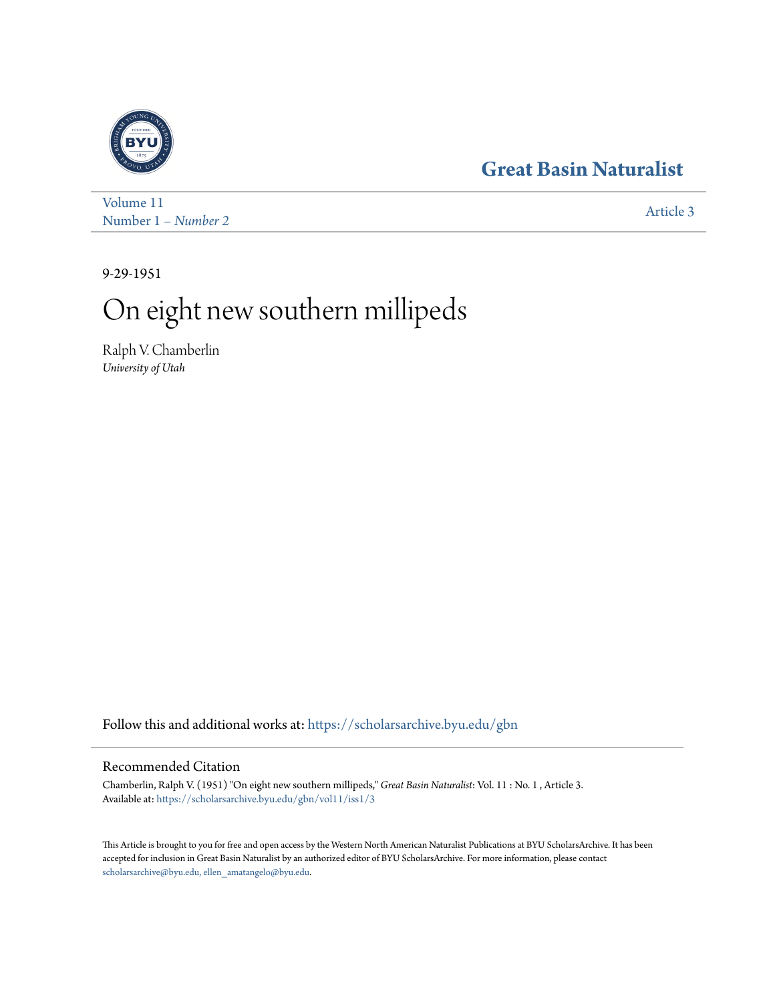## **[Great Basin Naturalist](https://scholarsarchive.byu.edu/gbn?utm_source=scholarsarchive.byu.edu%2Fgbn%2Fvol11%2Fiss1%2F3&utm_medium=PDF&utm_campaign=PDFCoverPages)**



[Volume 11](https://scholarsarchive.byu.edu/gbn/vol11?utm_source=scholarsarchive.byu.edu%2Fgbn%2Fvol11%2Fiss1%2F3&utm_medium=PDF&utm_campaign=PDFCoverPages) Number 1 – *Number 2* [Article 3](https://scholarsarchive.byu.edu/gbn/vol11/iss1/3?utm_source=scholarsarchive.byu.edu%2Fgbn%2Fvol11%2Fiss1%2F3&utm_medium=PDF&utm_campaign=PDFCoverPages)

9-29-1951

# On eight new southern millipeds

Ralph V. Chamberlin *University of Utah*

Follow this and additional works at: [https://scholarsarchive.byu.edu/gbn](https://scholarsarchive.byu.edu/gbn?utm_source=scholarsarchive.byu.edu%2Fgbn%2Fvol11%2Fiss1%2F3&utm_medium=PDF&utm_campaign=PDFCoverPages)

### Recommended Citation

Chamberlin, Ralph V. (1951) "On eight new southern millipeds," *Great Basin Naturalist*: Vol. 11 : No. 1 , Article 3. Available at: [https://scholarsarchive.byu.edu/gbn/vol11/iss1/3](https://scholarsarchive.byu.edu/gbn/vol11/iss1/3?utm_source=scholarsarchive.byu.edu%2Fgbn%2Fvol11%2Fiss1%2F3&utm_medium=PDF&utm_campaign=PDFCoverPages)

This Article is brought to you for free and open access by the Western North American Naturalist Publications at BYU ScholarsArchive. It has been accepted for inclusion in Great Basin Naturalist by an authorized editor of BYU ScholarsArchive. For more information, please contact [scholarsarchive@byu.edu, ellen\\_amatangelo@byu.edu.](mailto:scholarsarchive@byu.edu,%20ellen_amatangelo@byu.edu)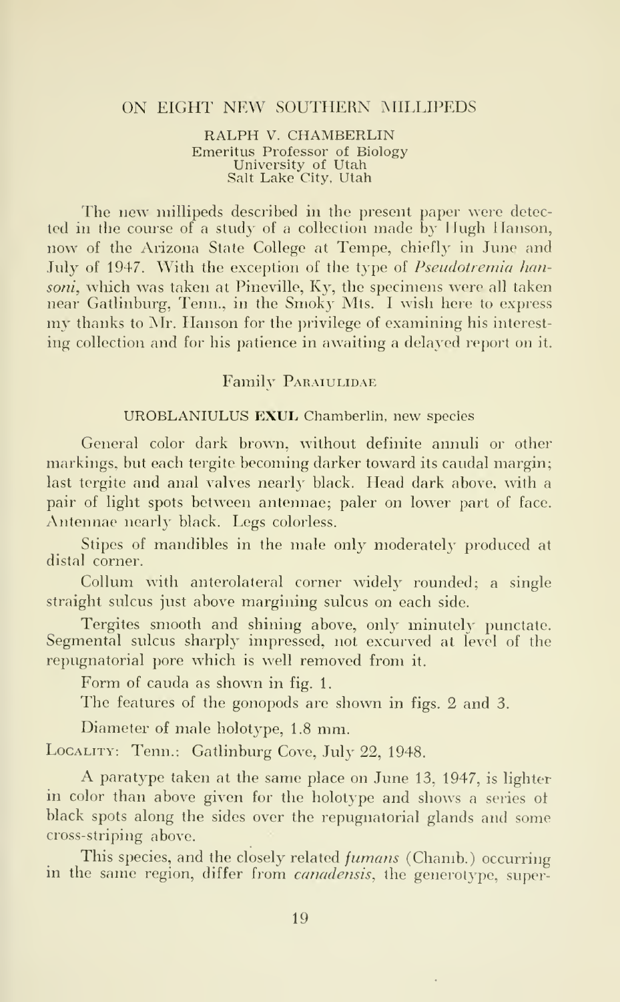#### ON EIGHT NEW SOUTHERN MILLIPEDS

RALPH V. CHAMBERLIN Emeritus Professor of Biology University of Utah Salt Lake City, Utah

The new millipeds described in the present paper were detected in the course of a study of <sup>a</sup> collection made by Hugh Hanson, now of the Arizona State College at Tempe, chiefly in June and July of 1947. With the exception of the type of *Pseudotremia han*soni, which was taken at Pineville, Ky, the specimens were all taken near Gatlinburg, Tenn., in the Smoky Mts. <sup>I</sup> wish here to express my thanks to Mr. Hanson for the privilege of examining his interest ing collection and for his patience in awaiting a delayed report on it.

#### Family PARAIULIDAE

#### UROBLANIULUS EXUL Chamberlin, new species

General color dark brown, without definite annuli or other markings, but each tergite becoming darker toward its caudal margin; last tergite and anal valves nearly black. Head dark above, with a pair of light spots between antennae; paler on lower part of face. Antennae nearly black. Legs colorless.

Stipes of mandibles in the male only moderately produced at distal corner.

Collum with anterolateral corner widely rounded; a single straight sulcus just above margining sulcus on each side.

Tergites smooth and shining above, only minutely punctate. Segmental sulcus sharply impressed, not excurved at level of the repugnatorial pore which is well removed from it.

Form of cauda as shown in fig. 1.

The features of the gonopods are shown in figs. 2 and 3.

Diameter of male holotype, 1.8 mm.

Locality: Tenn.: Gatlinburg Cove, July 22, 1948.

A paratype taken at the same place on June 13, 1947, is lighter in color than above given for the holotype and shows a series of black spots along the sides over the repugnatorial glands and some cross-striping above.

This species, and the closely related *fumans* (Chamb.) occurring in the same region, differ from *canadensis*, the generotype, super-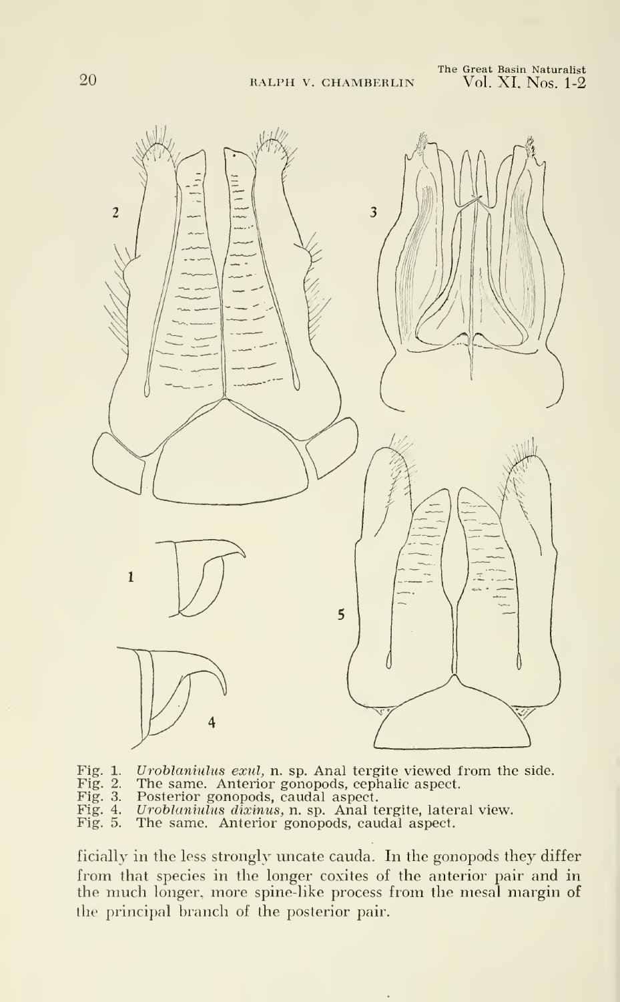

Fig. 1. Uroblaniulus exul, n. sp. Anal tergite viewed from the side. Fig. 2. The same. Anterior gonopods, cephalic aspect.

- Fig. 2. The same. Anterior gonopods, cephalic aspect.<br>Fig. 3. Posterior gonopods, caudal aspect.
- Fig. 3. Posterior gonopods, caudal aspect.<br>Fig. 4. Uroblaniulus dixinus, n. sp. Anal t
- Fig. 4. Uroblaniulus dixinus, n. sp. Anal tergite, lateral view. Fig. 5. The same. Anterior gonopods, caudal aspect.
- 

ficially in the less strongly uncate cauda. In the gonopods they differ from that species in the longer coxites of the anterior pair and in the much longer, more spine-like process from the mesal margin of the principal branch of the posterior pair.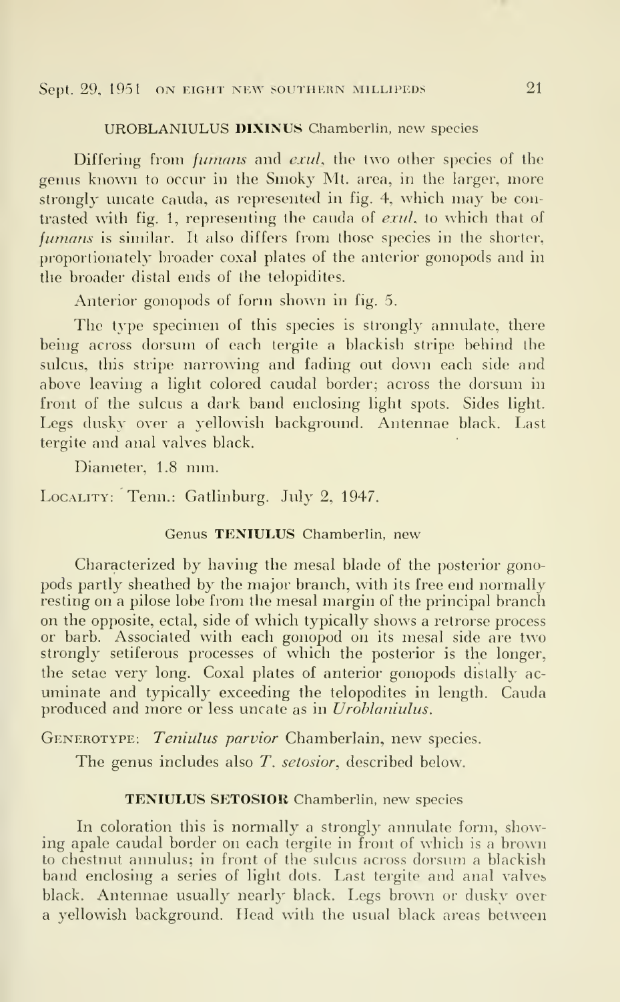#### Sept. 29, 1951 ON EIGHT NEW SOUTHERN MILLIPEDS 21

#### UROBLANIULUS DIXINUS Chamberlin, new species

Differing from *fumans* and *exul*, the two other species of the genus known to occur in the Smoky Mt. area, in the larger, more strongly uncate cauda, as represented in fig. 4, which may be contrasted with fig. 1, representing the Cauda of exul, to which that of fumans is similar. It also differs from those species in the shorter, proportionately broader coxal plates of the anterior gonopods and in the broader distal ends of the telopidites.

Anterior gonopods of form shown in fig. 5.

The type specimen of this species is strongly annulate, there being across dorsum of each tergite a blackish stripe behind the sulcus, this stripe narrowing and fading out down each side and above leaving a light colored caudal border; across the dorsum in front of the sulcus a dark band enclosing light spots. Sides light. Legs dusky over a yellowish background. Antennae black. Last tergite and anal valves black.

Diameter, 1.8 mm.

Locality: Tenn.: Gatlinburg. July 2, 1947.

#### Genus TENIULUS Chamberlin, new

Characterized by having the mesal blade of the posterior gonopods partly sheathed by the major branch, with its free end normally resting on a pilose lobe from the mesal margin of the principal branch on the opposite, ectal, side of which typically shows a retrorse process or barb. Associated with each gonopod on its mesal side are two strongly setiferous processes of which the posterior is the longer, the setae very long. Coxal plates of anterior gonopods distally ac uminate and typically exceeding the telopodites in length. Cauda produced and more or less uncate as in Uroblaniulus.

GENEROTYPE: Teniulus parvior Chamberlain, new species.

The genus includes also T. setosior, described below.

#### TENIULUS SETOSIOR Chamberlin, new species

In coloration this is normally a strongly annulate form, showing apale caudal border on each tergite in front of which is a brown to chestnut annulus; in front of the sulcus across dorsum a blackish band enclosing a series of light dots. Last tergite and anal valves black. Antennae usually nearly black. Legs brown or dusky over a yellowish background. Head with the usual black areas between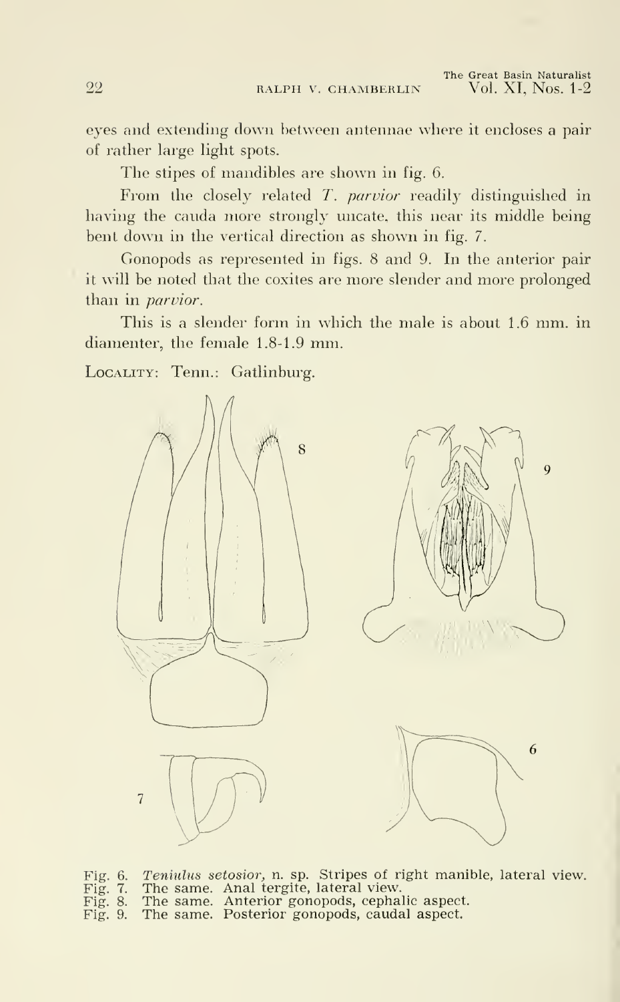The Great Basin Naturalist Vol. XI, Nos. 1-2

eyes and extending down between antennae where it encloses a pair of rather large light spots.

The stipes of mandibles are shown in fig. 6.

From the closely related T. parvior readily distinguished in having the cauda more strongly uncate, this near its middle being bent down in the vertical direction as shown in fig. 7.

Gonopods as represented in figs. 8 and 9. In the anterior pair it will be noted that the coxites are more slender and more prolonged than in parvior.

This is <sup>a</sup> slender form in which the male is about 1.6 mm. in diamenter, the female 1.8-1.9 mm.

Locatury: Tenn.: Gatlinburg.



Fig. 6. Teniulus setosior, n. sp. Stripes of right manible, lateral view. Fig. 7. The same. Anal tergite, lateral view.

- Fig. 8. The same. Anterior gonopods, cephalic aspect.
- Fig. 9. The same. Posterior gonopods, caudal aspect.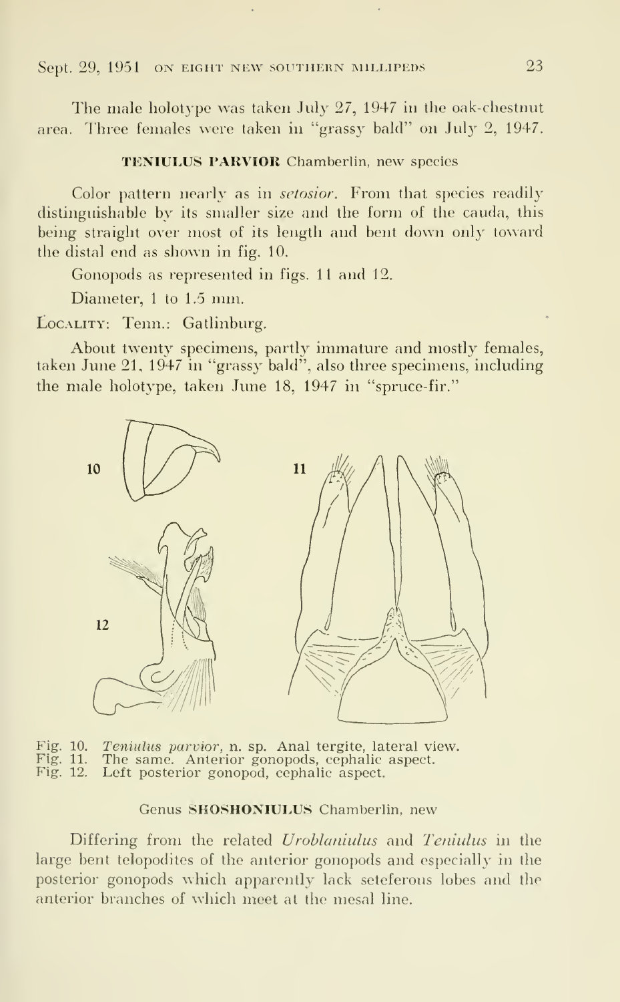The male holotype was taken July 27, 1947 in the oak-chestnut area. Three females were taken in "grassy bald" on July 2, 1947.

TENIULUS PARVIOR Chamberlin, new species

Color pattern nearly as in *setosior*. From that species readily distinguishable by its smaller size and the form of the cauda, this being straight over most of its length and bent down only toward the distal end as shown in fig. 10.

Gonopods as represented in figs. 11 and 12.

Diameter, <sup>1</sup> to 1.5 mm.

LOCALITY: Tenn.: Gatlinburg.

About twenty specimens, partly immature and mostly females, taken June 21, 1947 in "grassy bald", also three specimens, including the male holotype, taken June 18, 1947 in "spruce-fir."



Fig. 10. Teniulus parvior, n. sp. Anal tergite, lateral view.<br>Fig. 11. The same. Anterior gonopods, cephalic aspect. Fig. 11. The same. Anterior gonopods, cephalic aspect.<br>Fig. 12. Left posterior gonopod, cephalic aspect. Left posterior gonopod, cephalic aspect.

#### Genus SHOSHONIULUS Chamberlin, new

Differing from the related Uroblaniulus and Teniulus in the large bent telopodites of the anterior gonopods and especially in the posterior gonopods which apparently lack seteferous lobes and the anterior branches of which meet at the mesal line.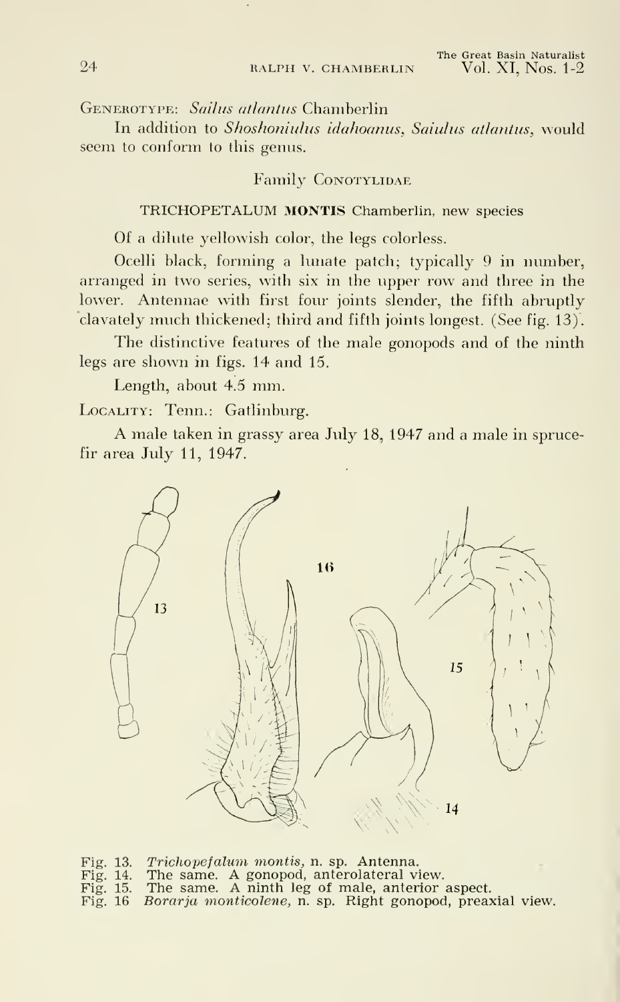Generotype: Sailus atlantus Chamberlin

In addition to Shoshoniulus idahoanus, Saiulus atlantus, would seem to conform to this genus.

#### Family CONOTYLIDAE

#### TRICHOPETALUM MONTIS Chamberlin, new species

Of a dilute yellowish color, the legs colorless.

Ocelli black, forming a lunate patch; typically 9 in number, arranged in two series, with six in the upper row and three in the lower. Antennae with first four joints slender, the fifth abruptly clavately much thickened; third and fifth joints longest. (See fig. 13).

The distinctive features of the male gonopods and of the ninth legs are shown in figs. 14 and 15.

Length, about 4.5 mm.

LOCALITY: Tenn.: Gatlinburg.

A male taken in grassy area July 18, <sup>1947</sup> and <sup>a</sup> male in sprucefir area July 11, 1947.



- Fig. 13. *Trichopefalum monti*s, n. sp. Antenna.<br>Fig. 14. The same. A gonopod, anterolateral view.
- Fig. 15. The same. A ninth leg of male, anterior aspect. Fig. 16 Borarja monticolene, n. sp. Right gonopod, preaxial view.
-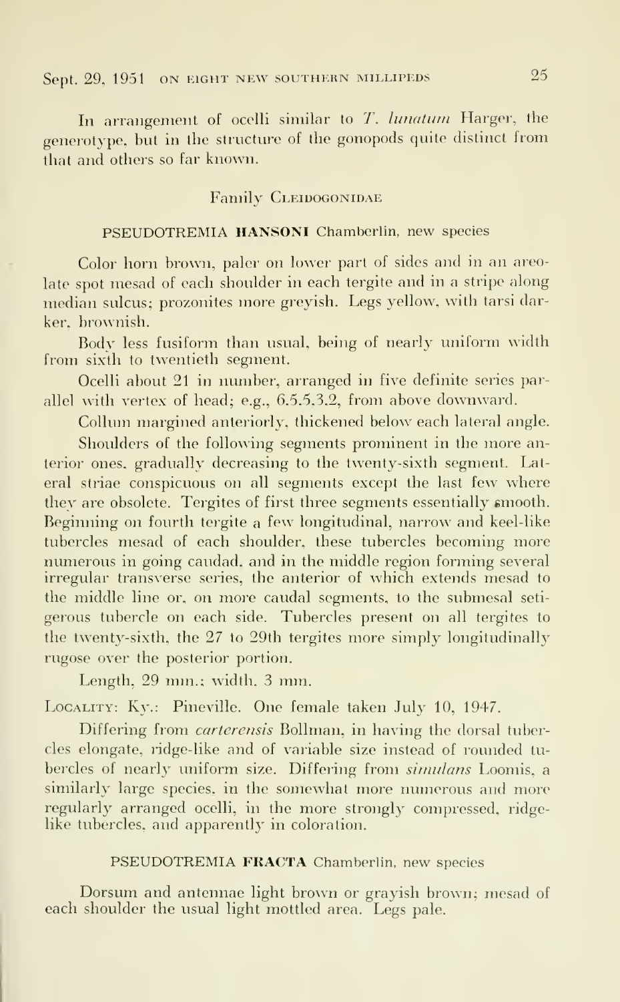In arrangement of ocelli similar to T. lunatum Harger, the generotype, but in the structure of the gonopods quite distinct from tliat and others so far known.

#### Family CLEIDOGONIDAE

#### PSEUDOTREMIA HANSONI Chamberlin, new species

Color horn brown, paler on lower part of sides and in an areolate spot mesad of each shoulder in each tergite and in a stripe along median sulcus; prozonites more greyish. Legs yellow, with tarsi darker, brownish.

Body less fusiform than usual, being of nearly uniform width from sixth to twentieth segment.

Ocelli about 21 in number, arranged in five definite series parallel with vertex of head; e.g., 6,5,5,3,2, from above downward.

Collum margined anteriorly, thickened below each lateral angle.

Shoulders of the following segments prominent in the more anterior ones, gradually decreasing to the twenty-sixth segment. Lateral striae conspicuous on all segments except the last few where they are obsolete. Tergites of first three segments essentially smooth. Beginning on fourth tergite a few longitudinal, narrow and keel-like tubercles mesad of each shoulder, these tubercles becoming more numerous in going caudad. and in the middle region forming several irregular transverse series, the anterior of which extends mesad to the middle line or, on more caudal segments, to the submesal seti gerous tubercle on each side. Tubercles present on all tergites to the twenty-sixth, the 27 to 29th tergites more simply longitudinally rugose over the posterior portion.

Length, 29 mm.; width. <sup>3</sup> mm.

LOCALITY: Kv.: Pineville. One female taken July 10, 1947.

Differing from carterensis Bollman, in having the dorsal tubercles elongate, ridge-like and of variable size instead of rounded tu bercles of nearly uniform size. Differing from simulans Loomis, a similarly large species, in the somewhat more numerous and more regularly arranged ocelli, in the more strongly compressed, ridgelike tubercles, and apparently in coloration.

#### PSEUDOTREMIA FRACTA Chamberlin, new species

Dorsum and antennae light brown or grayish brown; mesad of each shoulder the usual light mottled area. Legs pale.